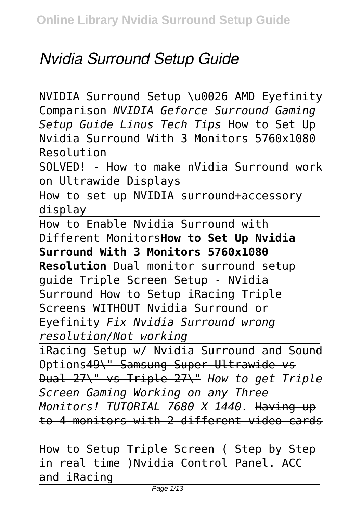# *Nvidia Surround Setup Guide*

NVIDIA Surround Setup \u0026 AMD Eyefinity Comparison *NVIDIA Geforce Surround Gaming Setup Guide Linus Tech Tips* How to Set Up Nvidia Surround With 3 Monitors 5760x1080 Resolution

SOLVED! - How to make nVidia Surround work on Ultrawide Displays

How to set up NVIDIA surround+accessory display

How to Enable Nvidia Surround with Different Monitors**How to Set Up Nvidia Surround With 3 Monitors 5760x1080**

**Resolution** Dual monitor surround setup guide Triple Screen Setup - NVidia Surround How to Setup iRacing Triple Screens WITHOUT Nvidia Surround or Eyefinity *Fix Nvidia Surround wrong resolution/Not working*

iRacing Setup w/ Nvidia Surround and Sound Options49\" Samsung Super Ultrawide vs Dual 27\" vs Triple 27\" *How to get Triple Screen Gaming Working on any Three Monitors! TUTORIAL 7680 X 1440.* Having up to 4 monitors with 2 different video cards

How to Setup Triple Screen ( Step by Step in real time )Nvidia Control Panel. ACC and iRacing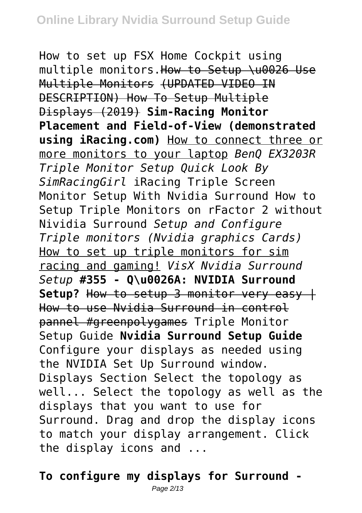How to set up FSX Home Cockpit using multiple monitors.How to Setup \u0026 Use Multiple Monitors (UPDATED VIDEO IN DESCRIPTION) How To Setup Multiple Displays (2019) **Sim-Racing Monitor Placement and Field-of-View (demonstrated using iRacing.com)** How to connect three or more monitors to your laptop *BenQ EX3203R Triple Monitor Setup Quick Look By SimRacingGirl* iRacing Triple Screen Monitor Setup With Nvidia Surround How to Setup Triple Monitors on rFactor 2 without Nividia Surround *Setup and Configure Triple monitors (Nvidia graphics Cards)* How to set up triple monitors for sim racing and gaming! *VisX Nvidia Surround Setup* **#355 - Q\u0026A: NVIDIA Surround** Setup? How to setup 3 monitor very easy + How to use Nvidia Surround in control pannel #greenpolygames Triple Monitor Setup Guide **Nvidia Surround Setup Guide** Configure your displays as needed using the NVIDIA Set Up Surround window. Displays Section Select the topology as well... Select the topology as well as the displays that you want to use for Surround. Drag and drop the display icons to match your display arrangement. Click the display icons and ...

# **To configure my displays for Surround -**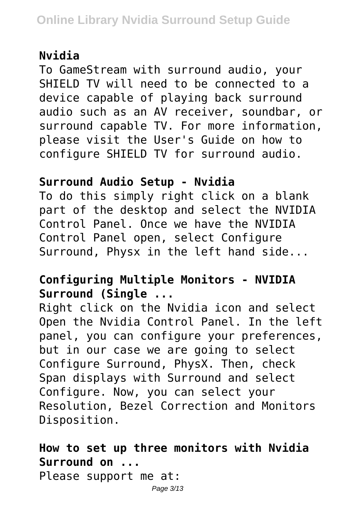#### **Nvidia**

To GameStream with surround audio, your SHIFLD TV will need to be connected to a device capable of playing back surround audio such as an AV receiver, soundbar, or surround capable TV. For more information, please visit the User's Guide on how to configure SHIELD TV for surround audio.

#### **Surround Audio Setup - Nvidia**

To do this simply right click on a blank part of the desktop and select the NVIDIA Control Panel. Once we have the NVIDIA Control Panel open, select Configure Surround, Physx in the left hand side...

# **Configuring Multiple Monitors - NVIDIA Surround (Single ...**

Right click on the Nvidia icon and select Open the Nvidia Control Panel. In the left panel, you can configure your preferences, but in our case we are going to select Configure Surround, PhysX. Then, check Span displays with Surround and select Configure. Now, you can select your Resolution, Bezel Correction and Monitors Disposition.

# **How to set up three monitors with Nvidia Surround on ...**

Please support me at: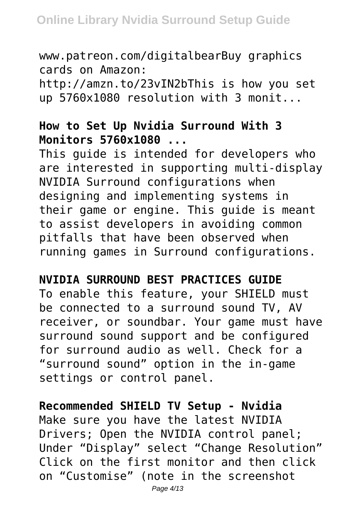www.patreon.com/digitalbearBuy graphics cards on Amazon: http://amzn.to/23vIN2bThis is how you set up 5760x1080 resolution with 3 monit...

### **How to Set Up Nvidia Surround With 3 Monitors 5760x1080 ...**

This guide is intended for developers who are interested in supporting multi-display NVIDIA Surround configurations when designing and implementing systems in their game or engine. This guide is meant to assist developers in avoiding common pitfalls that have been observed when running games in Surround configurations.

#### **NVIDIA SURROUND BEST PRACTICES GUIDE**

To enable this feature, your SHIELD must be connected to a surround sound TV, AV receiver, or soundbar. Your game must have surround sound support and be configured for surround audio as well. Check for a "surround sound" option in the in-game settings or control panel.

#### **Recommended SHIELD TV Setup - Nvidia**

Make sure you have the latest NVIDIA Drivers; Open the NVIDIA control panel; Under "Display" select "Change Resolution" Click on the first monitor and then click on "Customise" (note in the screenshot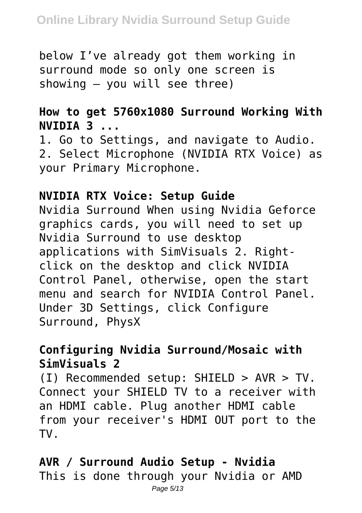below I've already got them working in surround mode so only one screen is showing – you will see three)

# **How to get 5760x1080 Surround Working With NVIDIA 3 ...**

1. Go to Settings, and navigate to Audio. 2. Select Microphone (NVIDIA RTX Voice) as your Primary Microphone.

#### **NVIDIA RTX Voice: Setup Guide**

Nvidia Surround When using Nvidia Geforce graphics cards, you will need to set up Nvidia Surround to use desktop applications with SimVisuals 2. Rightclick on the desktop and click NVIDIA Control Panel, otherwise, open the start menu and search for NVIDIA Control Panel. Under 3D Settings, click Configure Surround, PhysX

### **Configuring Nvidia Surround/Mosaic with SimVisuals 2**

(I) Recommended setup: SHIELD > AVR > TV. Connect your SHIELD TV to a receiver with an HDMI cable. Plug another HDMI cable from your receiver's HDMI OUT port to the TV.

# **AVR / Surround Audio Setup - Nvidia**

This is done through your Nvidia or AMD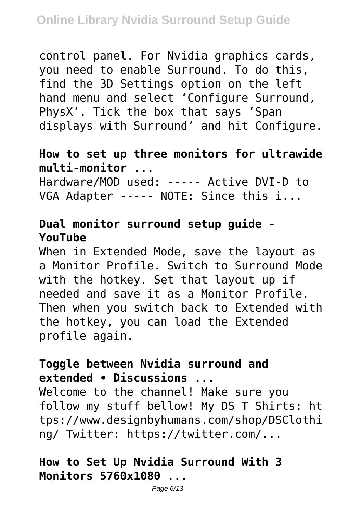control panel. For Nvidia graphics cards, you need to enable Surround. To do this, find the 3D Settings option on the left hand menu and select 'Configure Surround, PhysX'. Tick the box that says 'Span displays with Surround' and hit Configure.

### **How to set up three monitors for ultrawide multi-monitor ...**

Hardware/MOD used: ----- Active DVI-D to VGA Adapter ----- NOTE: Since this i...

# **Dual monitor surround setup guide - YouTube**

When in Extended Mode, save the layout as a Monitor Profile. Switch to Surround Mode with the hotkey. Set that layout up if needed and save it as a Monitor Profile. Then when you switch back to Extended with the hotkey, you can load the Extended profile again.

# **Toggle between Nvidia surround and extended • Discussions ...**

Welcome to the channel! Make sure you follow my stuff bellow! My DS T Shirts: ht tps://www.designbyhumans.com/shop/DSClothi ng/ Twitter: https://twitter.com/...

# **How to Set Up Nvidia Surround With 3 Monitors 5760x1080 ...**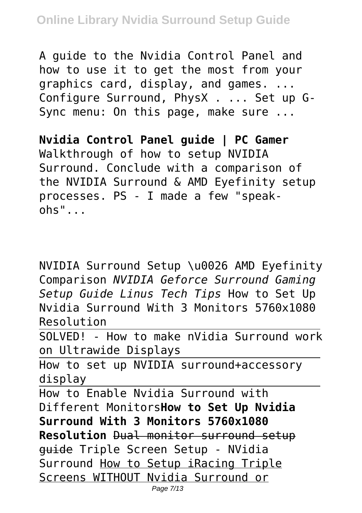A guide to the Nvidia Control Panel and how to use it to get the most from your graphics card, display, and games. ... Configure Surround, PhysX . ... Set up G-Sync menu: On this page, make sure ...

**Nvidia Control Panel guide | PC Gamer** Walkthrough of how to setup NVIDIA Surround. Conclude with a comparison of the NVIDIA Surround & AMD Eyefinity setup processes. PS - I made a few "speak $ohs$ " $\ldots$ 

NVIDIA Surround Setup \u0026 AMD Eyefinity Comparison *NVIDIA Geforce Surround Gaming Setup Guide Linus Tech Tips* How to Set Up Nvidia Surround With 3 Monitors 5760x1080 Resolution

SOLVED! - How to make nVidia Surround work on Ultrawide Displays

How to set up NVIDIA surround+accessory display

How to Enable Nvidia Surround with Different Monitors**How to Set Up Nvidia Surround With 3 Monitors 5760x1080 Resolution** Dual monitor surround setup guide Triple Screen Setup - NVidia Surround How to Setup iRacing Triple Screens WITHOUT Nvidia Surround or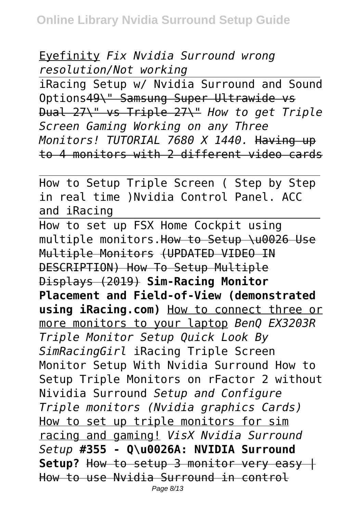Eyefinity *Fix Nvidia Surround wrong resolution/Not working*

iRacing Setup w/ Nvidia Surround and Sound Options49\" Samsung Super Ultrawide vs Dual 27\" vs Triple 27\" *How to get Triple Screen Gaming Working on any Three Monitors! TUTORIAL 7680 X 1440.* Having up to 4 monitors with 2 different video cards

How to Setup Triple Screen ( Step by Step in real time )Nvidia Control Panel. ACC and iRacing

How to set up FSX Home Cockpit using multiple monitors.How to Setup \u0026 Use Multiple Monitors (UPDATED VIDEO IN DESCRIPTION) How To Setup Multiple Displays (2019) **Sim-Racing Monitor Placement and Field-of-View (demonstrated using iRacing.com)** How to connect three or more monitors to your laptop *BenQ EX3203R Triple Monitor Setup Quick Look By SimRacingGirl* iRacing Triple Screen Monitor Setup With Nvidia Surround How to Setup Triple Monitors on rFactor 2 without Nividia Surround *Setup and Configure Triple monitors (Nvidia graphics Cards)* How to set up triple monitors for sim racing and gaming! *VisX Nvidia Surround Setup* **#355 - Q\u0026A: NVIDIA Surround** Setup? How to setup 3 monitor very easy + How to use Nvidia Surround in control Page 8/13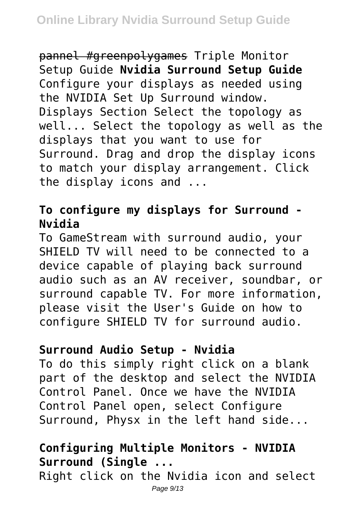pannel #greenpolygames Triple Monitor Setup Guide **Nvidia Surround Setup Guide** Configure your displays as needed using the NVIDIA Set Up Surround window. Displays Section Select the topology as well... Select the topology as well as the displays that you want to use for Surround. Drag and drop the display icons to match your display arrangement. Click the display icons and ...

# **To configure my displays for Surround - Nvidia**

To GameStream with surround audio, your SHIELD TV will need to be connected to a device capable of playing back surround audio such as an AV receiver, soundbar, or surround capable TV. For more information, please visit the User's Guide on how to configure SHIELD TV for surround audio.

#### **Surround Audio Setup - Nvidia**

To do this simply right click on a blank part of the desktop and select the NVIDIA Control Panel. Once we have the NVIDIA Control Panel open, select Configure Surround, Physx in the left hand side...

# **Configuring Multiple Monitors - NVIDIA Surround (Single ...**

Right click on the Nvidia icon and select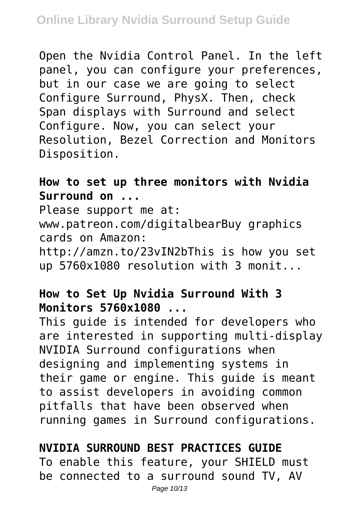Open the Nvidia Control Panel. In the left panel, you can configure your preferences, but in our case we are going to select Configure Surround, PhysX. Then, check Span displays with Surround and select Configure. Now, you can select your Resolution, Bezel Correction and Monitors Disposition.

#### **How to set up three monitors with Nvidia Surround on ...**

Please support me at: www.patreon.com/digitalbearBuy graphics cards on Amazon: http://amzn.to/23vIN2bThis is how you set up 5760x1080 resolution with 3 monit...

### **How to Set Up Nvidia Surround With 3 Monitors 5760x1080 ...**

This guide is intended for developers who are interested in supporting multi-display NVIDIA Surround configurations when designing and implementing systems in their game or engine. This guide is meant to assist developers in avoiding common pitfalls that have been observed when running games in Surround configurations.

#### **NVIDIA SURROUND BEST PRACTICES GUIDE**

To enable this feature, your SHIELD must be connected to a surround sound TV, AV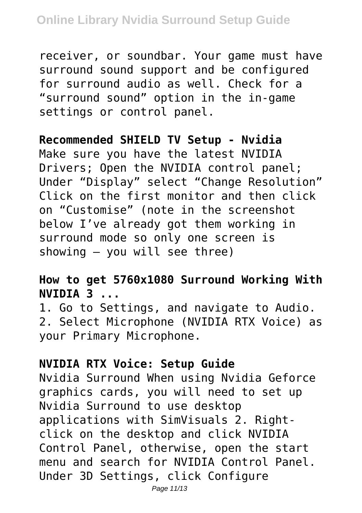receiver, or soundbar. Your game must have surround sound support and be configured for surround audio as well. Check for a "surround sound" option in the in-game settings or control panel.

#### **Recommended SHIELD TV Setup - Nvidia**

Make sure you have the latest NVIDIA Drivers; Open the NVIDIA control panel; Under "Display" select "Change Resolution" Click on the first monitor and then click on "Customise" (note in the screenshot below I've already got them working in surround mode so only one screen is showing – you will see three)

# **How to get 5760x1080 Surround Working With NVIDIA 3 ...**

1. Go to Settings, and navigate to Audio. 2. Select Microphone (NVIDIA RTX Voice) as your Primary Microphone.

#### **NVIDIA RTX Voice: Setup Guide**

Nvidia Surround When using Nvidia Geforce graphics cards, you will need to set up Nvidia Surround to use desktop applications with SimVisuals 2. Rightclick on the desktop and click NVIDIA Control Panel, otherwise, open the start menu and search for NVIDIA Control Panel. Under 3D Settings, click Configure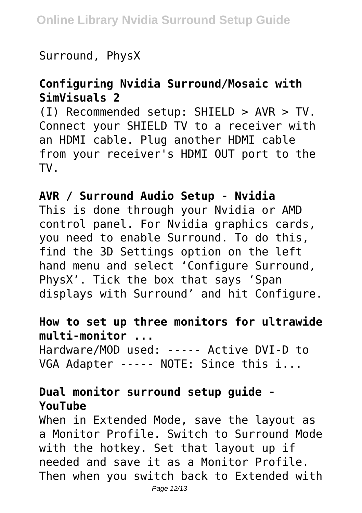Surround, PhysX

#### **Configuring Nvidia Surround/Mosaic with SimVisuals 2**

(I) Recommended setup: SHIELD > AVR > TV. Connect your SHIELD TV to a receiver with an HDMI cable. Plug another HDMI cable from your receiver's HDMI OUT port to the TV.

### **AVR / Surround Audio Setup - Nvidia**

This is done through your Nvidia or AMD control panel. For Nvidia graphics cards, you need to enable Surround. To do this, find the 3D Settings option on the left hand menu and select 'Configure Surround, PhysX'. Tick the box that says 'Span displays with Surround' and hit Configure.

#### **How to set up three monitors for ultrawide multi-monitor ...** Hardware/MOD used: ----- Active DVI-D to VGA Adapter ----- NOTE: Since this i...

# **Dual monitor surround setup guide - YouTube**

When in Extended Mode, save the layout as a Monitor Profile. Switch to Surround Mode with the hotkey. Set that layout up if needed and save it as a Monitor Profile. Then when you switch back to Extended with